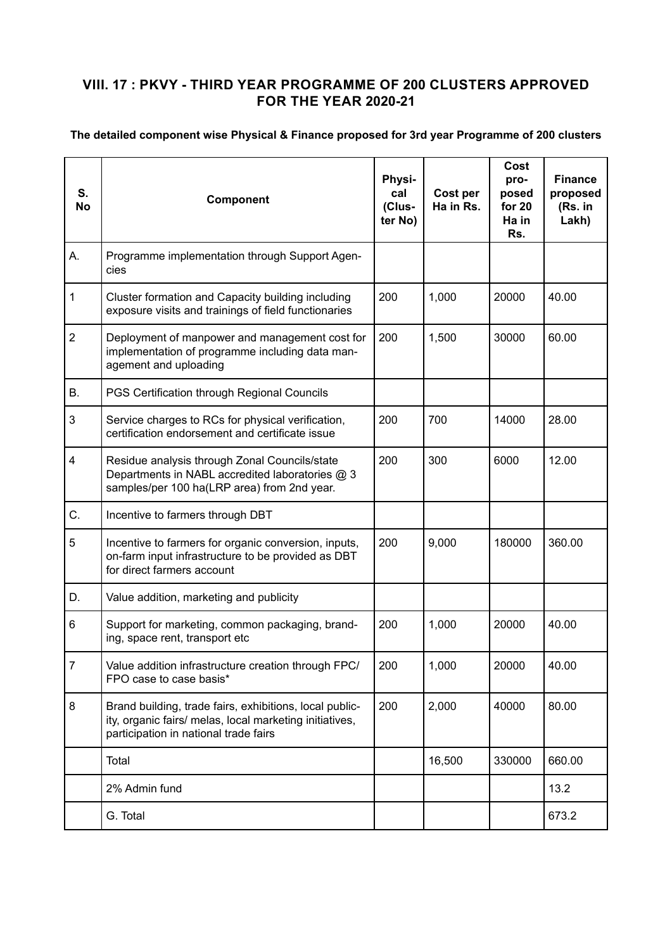## **VIII. 17 : PKVY - THIRD YEAR PROGRAMME OF 200 CLUSTERS APPROVED FOR THE YEAR 2020-21**

## **The detailed component wise Physical & Finance proposed for 3rd year Programme of 200 clusters**

| S.<br><b>No</b> | Component                                                                                                                                                   | Physi-<br>cal<br>(Clus-<br>ter No) | Cost per<br>Ha in Rs. | Cost<br>pro-<br>posed<br>for 20<br>Ha in<br>Rs. | <b>Finance</b><br>proposed<br>(Rs. in<br>Lakh) |
|-----------------|-------------------------------------------------------------------------------------------------------------------------------------------------------------|------------------------------------|-----------------------|-------------------------------------------------|------------------------------------------------|
| А.              | Programme implementation through Support Agen-<br>cies                                                                                                      |                                    |                       |                                                 |                                                |
| $\mathbf{1}$    | Cluster formation and Capacity building including<br>exposure visits and trainings of field functionaries                                                   | 200                                | 1,000                 | 20000                                           | 40.00                                          |
| $\overline{2}$  | Deployment of manpower and management cost for<br>implementation of programme including data man-<br>agement and uploading                                  | 200                                | 1,500                 | 30000                                           | 60.00                                          |
| Β.              | PGS Certification through Regional Councils                                                                                                                 |                                    |                       |                                                 |                                                |
| 3               | Service charges to RCs for physical verification,<br>certification endorsement and certificate issue                                                        | 200                                | 700                   | 14000                                           | 28.00                                          |
| 4               | Residue analysis through Zonal Councils/state<br>Departments in NABL accredited laboratories @ 3<br>samples/per 100 ha(LRP area) from 2nd year.             | 200                                | 300                   | 6000                                            | 12.00                                          |
| C.              | Incentive to farmers through DBT                                                                                                                            |                                    |                       |                                                 |                                                |
| 5               | Incentive to farmers for organic conversion, inputs,<br>on-farm input infrastructure to be provided as DBT<br>for direct farmers account                    | 200                                | 9,000                 | 180000                                          | 360.00                                         |
| D.              | Value addition, marketing and publicity                                                                                                                     |                                    |                       |                                                 |                                                |
| 6               | Support for marketing, common packaging, brand-<br>ing, space rent, transport etc                                                                           | 200                                | 1,000                 | 20000                                           | 40.00                                          |
| 7               | Value addition infrastructure creation through FPC/<br>FPO case to case basis*                                                                              | 200                                | 1,000                 | 20000                                           | 40.00                                          |
| 8               | Brand building, trade fairs, exhibitions, local public-<br>ity, organic fairs/ melas, local marketing initiatives,<br>participation in national trade fairs | 200                                | 2,000                 | 40000                                           | 80.00                                          |
|                 | Total                                                                                                                                                       |                                    | 16,500                | 330000                                          | 660.00                                         |
|                 | 2% Admin fund                                                                                                                                               |                                    |                       |                                                 | 13.2                                           |
|                 | G. Total                                                                                                                                                    |                                    |                       |                                                 | 673.2                                          |